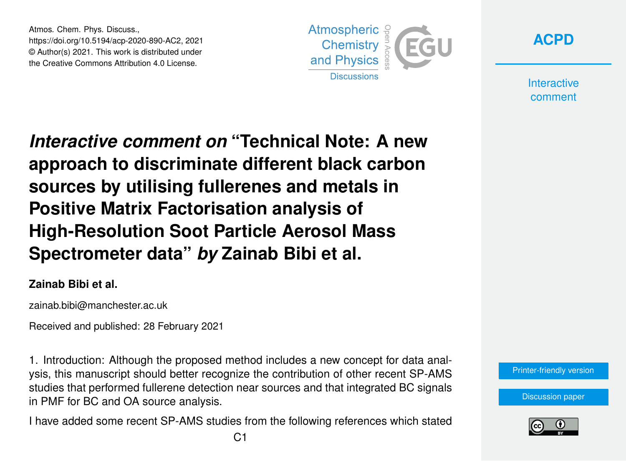Atmos. Chem. Phys. Discuss., https://doi.org/10.5194/acp-2020-890-AC2, 2021 © Author(s) 2021. This work is distributed under the Creative Commons Attribution 4.0 License.





**Interactive** comment

*Interactive comment on* **"Technical Note: A new approach to discriminate different black carbon sources by utilising fullerenes and metals in Positive Matrix Factorisation analysis of High-Resolution Soot Particle Aerosol Mass Spectrometer data"** *by* **Zainab Bibi et al.**

#### **Zainab Bibi et al.**

zainab.bibi@manchester.ac.uk

Received and published: 28 February 2021

1. Introduction: Although the proposed method includes a new concept for data analysis, this manuscript should better recognize the contribution of other recent SP-AMS studies that performed fullerene detection near sources and that integrated BC signals in PMF for BC and OA source analysis.

I have added some recent SP-AMS studies from the following references which stated

[Printer-friendly version](https://acp.copernicus.org/preprints/acp-2020-890/acp-2020-890-AC2-print.pdf)

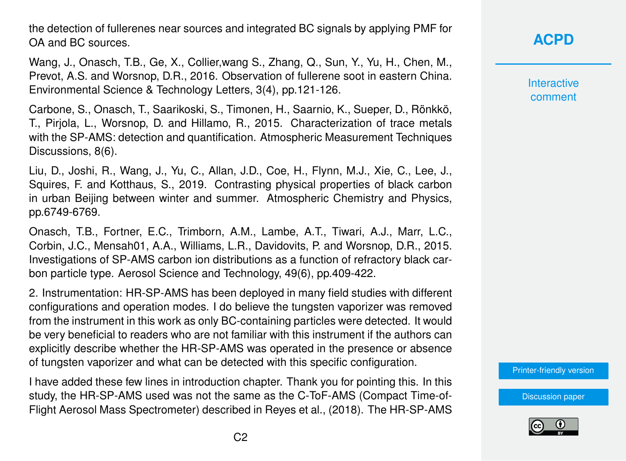the detection of fullerenes near sources and integrated BC signals by applying PMF for OA and BC sources.

Wang, J., Onasch, T.B., Ge, X., Collier,wang S., Zhang, Q., Sun, Y., Yu, H., Chen, M., Prevot, A.S. and Worsnop, D.R., 2016. Observation of fullerene soot in eastern China. Environmental Science & Technology Letters, 3(4), pp.121-126.

Carbone, S., Onasch, T., Saarikoski, S., Timonen, H., Saarnio, K., Sueper, D., Rönkkö, T., Pirjola, L., Worsnop, D. and Hillamo, R., 2015. Characterization of trace metals with the SP-AMS: detection and quantification. Atmospheric Measurement Techniques Discussions, 8(6).

Liu, D., Joshi, R., Wang, J., Yu, C., Allan, J.D., Coe, H., Flynn, M.J., Xie, C., Lee, J., Squires, F. and Kotthaus, S., 2019. Contrasting physical properties of black carbon in urban Beijing between winter and summer. Atmospheric Chemistry and Physics, pp.6749-6769.

Onasch, T.B., Fortner, E.C., Trimborn, A.M., Lambe, A.T., Tiwari, A.J., Marr, L.C., Corbin, J.C., Mensah01, A.A., Williams, L.R., Davidovits, P. and Worsnop, D.R., 2015. Investigations of SP-AMS carbon ion distributions as a function of refractory black carbon particle type. Aerosol Science and Technology, 49(6), pp.409-422.

2. Instrumentation: HR-SP-AMS has been deployed in many field studies with different configurations and operation modes. I do believe the tungsten vaporizer was removed from the instrument in this work as only BC-containing particles were detected. It would be very beneficial to readers who are not familiar with this instrument if the authors can explicitly describe whether the HR-SP-AMS was operated in the presence or absence of tungsten vaporizer and what can be detected with this specific configuration.

I have added these few lines in introduction chapter. Thank you for pointing this. In this study, the HR-SP-AMS used was not the same as the C-ToF-AMS (Compact Time-of-Flight Aerosol Mass Spectrometer) described in Reyes et al., (2018). The HR-SP-AMS

# **[ACPD](https://acp.copernicus.org/preprints/)**

**Interactive** comment

[Printer-friendly version](https://acp.copernicus.org/preprints/acp-2020-890/acp-2020-890-AC2-print.pdf)

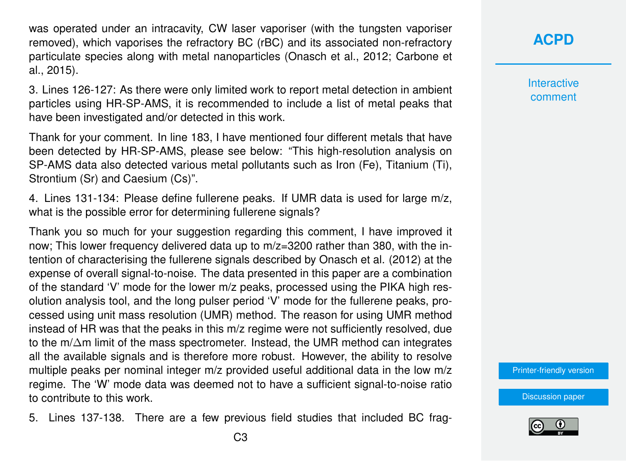was operated under an intracavity, CW laser vaporiser (with the tungsten vaporiser removed), which vaporises the refractory BC (rBC) and its associated non-refractory particulate species along with metal nanoparticles (Onasch et al., 2012; Carbone et al., 2015).

3. Lines 126-127: As there were only limited work to report metal detection in ambient particles using HR-SP-AMS, it is recommended to include a list of metal peaks that have been investigated and/or detected in this work.

Thank for your comment. In line 183, I have mentioned four different metals that have been detected by HR-SP-AMS, please see below: "This high-resolution analysis on SP-AMS data also detected various metal pollutants such as Iron (Fe), Titanium (Ti), Strontium (Sr) and Caesium (Cs)".

4. Lines 131-134: Please define fullerene peaks. If UMR data is used for large m/z, what is the possible error for determining fullerene signals?

Thank you so much for your suggestion regarding this comment, I have improved it now; This lower frequency delivered data up to m/z=3200 rather than 380, with the intention of characterising the fullerene signals described by Onasch et al. (2012) at the expense of overall signal-to-noise. The data presented in this paper are a combination of the standard 'V' mode for the lower m/z peaks, processed using the PIKA high resolution analysis tool, and the long pulser period 'V' mode for the fullerene peaks, processed using unit mass resolution (UMR) method. The reason for using UMR method instead of HR was that the peaks in this m/z regime were not sufficiently resolved, due to the m/∆m limit of the mass spectrometer. Instead, the UMR method can integrates all the available signals and is therefore more robust. However, the ability to resolve multiple peaks per nominal integer m/z provided useful additional data in the low m/z regime. The 'W' mode data was deemed not to have a sufficient signal-to-noise ratio to contribute to this work.

5. Lines 137-138. There are a few previous field studies that included BC frag-

**Interactive** comment

[Printer-friendly version](https://acp.copernicus.org/preprints/acp-2020-890/acp-2020-890-AC2-print.pdf)

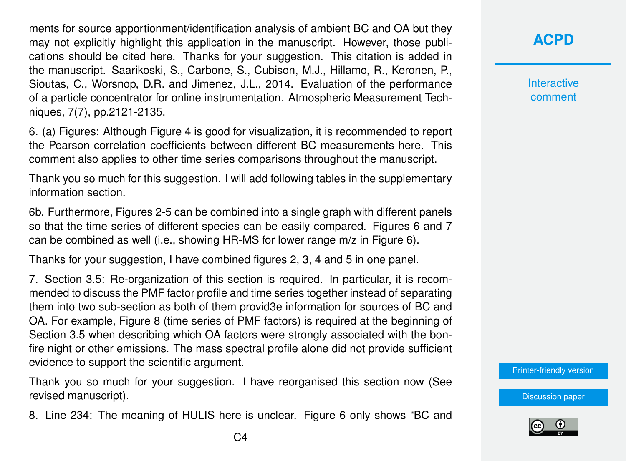ments for source apportionment/identification analysis of ambient BC and OA but they may not explicitly highlight this application in the manuscript. However, those publications should be cited here. Thanks for your suggestion. This citation is added in the manuscript. Saarikoski, S., Carbone, S., Cubison, M.J., Hillamo, R., Keronen, P., Sioutas, C., Worsnop, D.R. and Jimenez, J.L., 2014. Evaluation of the performance of a particle concentrator for online instrumentation. Atmospheric Measurement Techniques, 7(7), pp.2121-2135.

6. (a) Figures: Although Figure 4 is good for visualization, it is recommended to report the Pearson correlation coefficients between different BC measurements here. This comment also applies to other time series comparisons throughout the manuscript.

Thank you so much for this suggestion. I will add following tables in the supplementary information section.

6b. Furthermore, Figures 2-5 can be combined into a single graph with different panels so that the time series of different species can be easily compared. Figures 6 and 7 can be combined as well (i.e., showing HR-MS for lower range m/z in Figure 6).

Thanks for your suggestion, I have combined figures 2, 3, 4 and 5 in one panel.

7. Section 3.5: Re-organization of this section is required. In particular, it is recommended to discuss the PMF factor profile and time series together instead of separating them into two sub-section as both of them provid3e information for sources of BC and OA. For example, Figure 8 (time series of PMF factors) is required at the beginning of Section 3.5 when describing which OA factors were strongly associated with the bonfire night or other emissions. The mass spectral profile alone did not provide sufficient evidence to support the scientific argument.

Thank you so much for your suggestion. I have reorganised this section now (See revised manuscript).

8. Line 234: The meaning of HULIS here is unclear. Figure 6 only shows "BC and

**[ACPD](https://acp.copernicus.org/preprints/)**

**Interactive** comment

[Printer-friendly version](https://acp.copernicus.org/preprints/acp-2020-890/acp-2020-890-AC2-print.pdf)

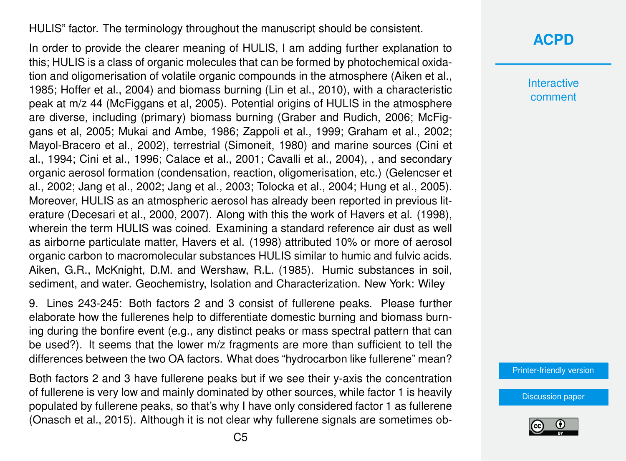#### HULIS" factor. The terminology throughout the manuscript should be consistent.

In order to provide the clearer meaning of HULIS, I am adding further explanation to this; HULIS is a class of organic molecules that can be formed by photochemical oxidation and oligomerisation of volatile organic compounds in the atmosphere (Aiken et al., 1985; Hoffer et al., 2004) and biomass burning (Lin et al., 2010), with a characteristic peak at m/z 44 (McFiggans et al, 2005). Potential origins of HULIS in the atmosphere are diverse, including (primary) biomass burning (Graber and Rudich, 2006; McFiggans et al, 2005; Mukai and Ambe, 1986; Zappoli et al., 1999; Graham et al., 2002; Mayol-Bracero et al., 2002), terrestrial (Simoneit, 1980) and marine sources (Cini et al., 1994; Cini et al., 1996; Calace et al., 2001; Cavalli et al., 2004), , and secondary organic aerosol formation (condensation, reaction, oligomerisation, etc.) (Gelencser et al., 2002; Jang et al., 2002; Jang et al., 2003; Tolocka et al., 2004; Hung et al., 2005). Moreover, HULIS as an atmospheric aerosol has already been reported in previous literature (Decesari et al., 2000, 2007). Along with this the work of Havers et al. (1998), wherein the term HULIS was coined. Examining a standard reference air dust as well as airborne particulate matter, Havers et al. (1998) attributed 10% or more of aerosol organic carbon to macromolecular substances HULIS similar to humic and fulvic acids. Aiken, G.R., McKnight, D.M. and Wershaw, R.L. (1985). Humic substances in soil, sediment, and water. Geochemistry, Isolation and Characterization. New York: Wiley

9. Lines 243-245: Both factors 2 and 3 consist of fullerene peaks. Please further elaborate how the fullerenes help to differentiate domestic burning and biomass burning during the bonfire event (e.g., any distinct peaks or mass spectral pattern that can be used?). It seems that the lower m/z fragments are more than sufficient to tell the differences between the two OA factors. What does "hydrocarbon like fullerene" mean?

Both factors 2 and 3 have fullerene peaks but if we see their y-axis the concentration of fullerene is very low and mainly dominated by other sources, while factor 1 is heavily populated by fullerene peaks, so that's why I have only considered factor 1 as fullerene (Onasch et al., 2015). Although it is not clear why fullerene signals are sometimes ob-

### **[ACPD](https://acp.copernicus.org/preprints/)**

Interactive comment

[Printer-friendly version](https://acp.copernicus.org/preprints/acp-2020-890/acp-2020-890-AC2-print.pdf)

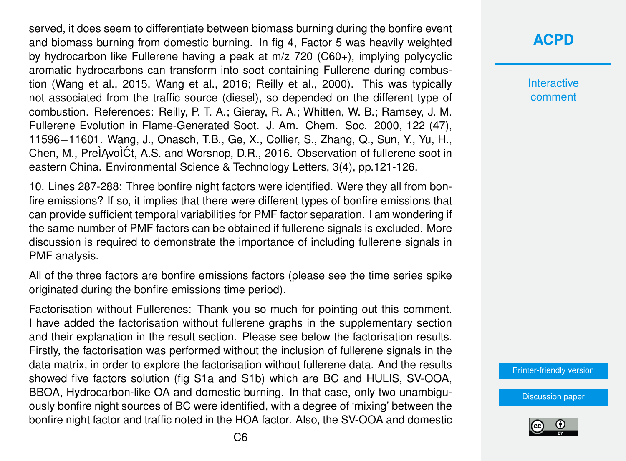served, it does seem to differentiate between biomass burning during the bonfire event and biomass burning from domestic burning. In fig 4, Factor 5 was heavily weighted by hydrocarbon like Fullerene having a peak at m/z 720 (C60+), implying polycyclic aromatic hydrocarbons can transform into soot containing Fullerene during combustion (Wang et al., 2015, Wang et al., 2016; Reilly et al., 2000). This was typically not associated from the traffic source (diesel), so depended on the different type of combustion. References: Reilly, P. T. A.; Gieray, R. A.; Whitten, W. B.; Ramsey, J. M. Fullerene Evolution in Flame-Generated Soot. J. Am. Chem. Soc. 2000, 122 (47), 11596−11601. Wang, J., Onasch, T.B., Ge, X., Collier, S., Zhang, Q., Sun, Y., Yu, H., Chen, M., PreÌAvoÌĆt, A.S. and Worsnop, D.R., 2016. Observation of fullerene soot in eastern China. Environmental Science & Technology Letters, 3(4), pp.121-126.

10. Lines 287-288: Three bonfire night factors were identified. Were they all from bonfire emissions? If so, it implies that there were different types of bonfire emissions that can provide sufficient temporal variabilities for PMF factor separation. I am wondering if the same number of PMF factors can be obtained if fullerene signals is excluded. More discussion is required to demonstrate the importance of including fullerene signals in PMF analysis.

All of the three factors are bonfire emissions factors (please see the time series spike originated during the bonfire emissions time period).

Factorisation without Fullerenes: Thank you so much for pointing out this comment. I have added the factorisation without fullerene graphs in the supplementary section and their explanation in the result section. Please see below the factorisation results. Firstly, the factorisation was performed without the inclusion of fullerene signals in the data matrix, in order to explore the factorisation without fullerene data. And the results showed five factors solution (fig S1a and S1b) which are BC and HULIS, SV-OOA, BBOA, Hydrocarbon-like OA and domestic burning. In that case, only two unambiguously bonfire night sources of BC were identified, with a degree of 'mixing' between the bonfire night factor and traffic noted in the HOA factor. Also, the SV-OOA and domestic

# **[ACPD](https://acp.copernicus.org/preprints/)**

**Interactive** comment

[Printer-friendly version](https://acp.copernicus.org/preprints/acp-2020-890/acp-2020-890-AC2-print.pdf)

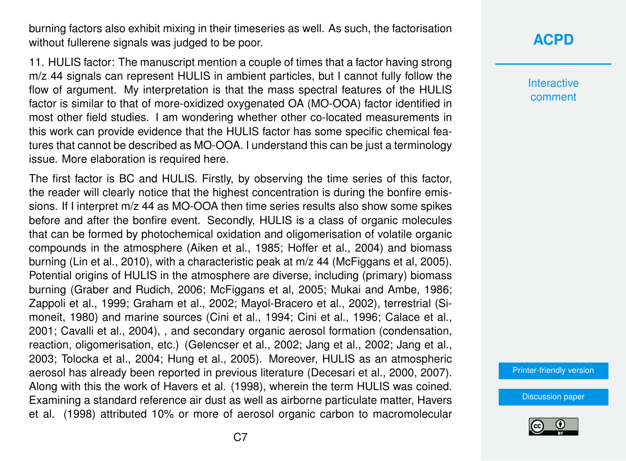burning factors also exhibit mixing in their timeseries as well. As such, the factorisation without fullerene signals was judged to be poor.

11. HULIS factor: The manuscript mention a couple of times that a factor having strong m/z 44 signals can represent HULIS in ambient particles, but I cannot fully follow the flow of argument. My interpretation is that the mass spectral features of the HULIS factor is similar to that of more-oxidized oxygenated OA (MO-OOA) factor identified in most other field studies. I am wondering whether other co-located measurements in this work can provide evidence that the HULIS factor has some specific chemical features that cannot be described as MO-OOA. I understand this can be just a terminology issue. More elaboration is required here.

The first factor is BC and HULIS. Firstly, by observing the time series of this factor, the reader will clearly notice that the highest concentration is during the bonfire emissions. If I interpret m/z 44 as MO-OOA then time series results also show some spikes before and after the bonfire event. Secondly, HULIS is a class of organic molecules that can be formed by photochemical oxidation and oligomerisation of volatile organic compounds in the atmosphere (Aiken et al., 1985; Hoffer et al., 2004) and biomass burning (Lin et al., 2010), with a characteristic peak at m/z 44 (McFiggans et al, 2005). Potential origins of HULIS in the atmosphere are diverse, including (primary) biomass burning (Graber and Rudich, 2006; McFiggans et al, 2005; Mukai and Ambe, 1986; Zappoli et al., 1999; Graham et al., 2002; Mayol-Bracero et al., 2002), terrestrial (Simoneit, 1980) and marine sources (Cini et al., 1994; Cini et al., 1996; Calace et al., 2001; Cavalli et al., 2004), , and secondary organic aerosol formation (condensation, reaction, oligomerisation, etc.) (Gelencser et al., 2002; Jang et al., 2002; Jang et al., 2003; Tolocka et al., 2004; Hung et al., 2005). Moreover, HULIS as an atmospheric aerosol has already been reported in previous literature (Decesari et al., 2000, 2007). Along with this the work of Havers et al. (1998), wherein the term HULIS was coined. Examining a standard reference air dust as well as airborne particulate matter, Havers et al. (1998) attributed 10% or more of aerosol organic carbon to macromolecular

# **[ACPD](https://acp.copernicus.org/preprints/)**

Interactive comment

[Printer-friendly version](https://acp.copernicus.org/preprints/acp-2020-890/acp-2020-890-AC2-print.pdf)

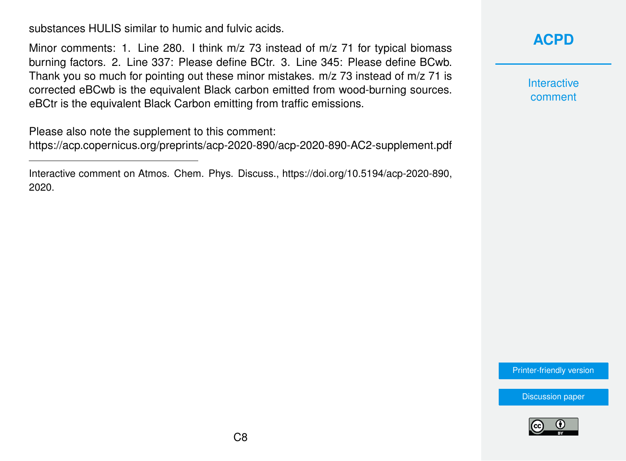substances HULIS similar to humic and fulvic acids.

Minor comments: 1. Line 280. I think m/z 73 instead of m/z 71 for typical biomass burning factors. 2. Line 337: Please define BCtr. 3. Line 345: Please define BCwb. Thank you so much for pointing out these minor mistakes. m/z 73 instead of m/z 71 is corrected eBCwb is the equivalent Black carbon emitted from wood-burning sources. eBCtr is the equivalent Black Carbon emitting from traffic emissions.

Please also note the supplement to this comment:

<https://acp.copernicus.org/preprints/acp-2020-890/acp-2020-890-AC2-supplement.pdf>

Interactive comment on Atmos. Chem. Phys. Discuss., https://doi.org/10.5194/acp-2020-890, 2020.

## **[ACPD](https://acp.copernicus.org/preprints/)**

**Interactive** comment

[Printer-friendly version](https://acp.copernicus.org/preprints/acp-2020-890/acp-2020-890-AC2-print.pdf)

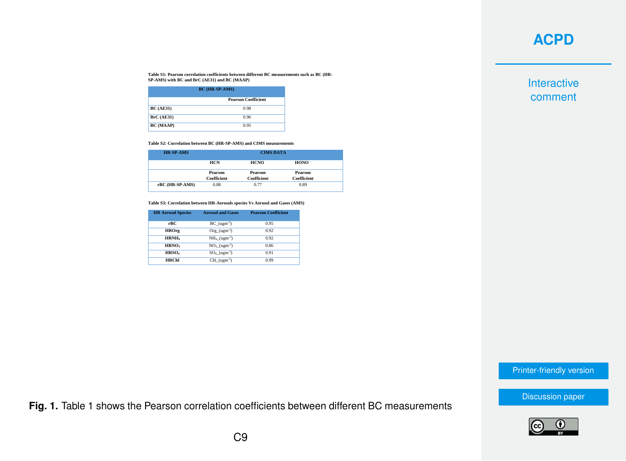**Table S1: Pearson correlation coefficients between different BC measurements such as BC (HR-SP-AMS) with BC and BrC (AE31) and BC (MAAP)**

| <b>BC</b> (HR-SP-AMS) |                            |  |
|-----------------------|----------------------------|--|
|                       | <b>Pearson Coefficient</b> |  |
| <b>BC</b> (AE31)      | 0.98                       |  |
| <b>BrC</b> (AE31)     | 0.96                       |  |
| BC (MAAP)             | 0.95                       |  |

**Table S2: Correlation between BC (HR-SP-AMS) and CIMS measurements**

| <b>HR-SP-AMS</b> | <b>CIMS DATA</b>   |             |                    |
|------------------|--------------------|-------------|--------------------|
|                  | HCN                | <b>HCNO</b> | HONO               |
|                  | Pearson            | Pearson     | Pearson            |
|                  | <b>Coefficient</b> | Coefficient | <b>Coefficient</b> |
| rBC (HR-SP-AMS)  | 0.88               | 0.77        | 0.89               |

**Table S3: Correlation between HR-Aerosols species Vs Aerosol and Gases (AMS)**

| <b>HR Aerosol Species</b> | <b>Aerosol and Gases</b>    | <b>Pearson Coefficient</b> |
|---------------------------|-----------------------------|----------------------------|
| rBC.                      | $BC_{(ugm)}^3$              | 0.95                       |
| <b>HROrg</b>              | $Org (ugm-3)$               | 0.92                       |
| HRNH.                     | $NH_4$ (ugm <sup>-3</sup> ) | 0.92                       |
| HRNO <sub>3</sub>         | $NO3 (ugm-3)$               | 0.86                       |
| HRSO <sub>4</sub>         | $SO_4$ (ugm <sup>-3</sup> ) | 0.91                       |
| <b>HRChl</b>              | $Chl$ (ugm <sup>-3</sup> )  | 0.99                       |

Interactive comment

[Printer-friendly version](https://acp.copernicus.org/preprints/acp-2020-890/acp-2020-890-AC2-print.pdf)

[Discussion paper](https://acp.copernicus.org/preprints/acp-2020-890)

**Fig. 1.** Table 1 shows the Pearson correlation coefficients between different BC measurements

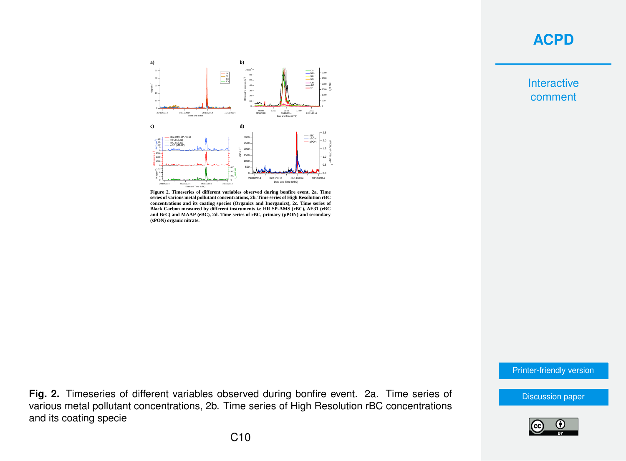

**Figure 2. Timeseries of different variables observed during bonfire event. 2a. Time series of various metal pollutant concentrations, 2b. Time series of High Resolution rBC concentrations and its coating species (Organics and Inorganics), 2c. Time series of Black Carbon measured by different instruments i.e HR SP-AMS (rBC), AE31 (eBC and BrC) and MAAP (eBC), 2d. Time series of rBC, primary (pPON) and secondary (sPON) organic nitrate.**

Interactive comment

[Printer-friendly version](https://acp.copernicus.org/preprints/acp-2020-890/acp-2020-890-AC2-print.pdf)

**Fig. 2.** Timeseries of different variables observed during bonfire event. 2a. Time series of various metal pollutant concentrations, 2b. Time series of High Resolution rBC concentrations and its coating specie



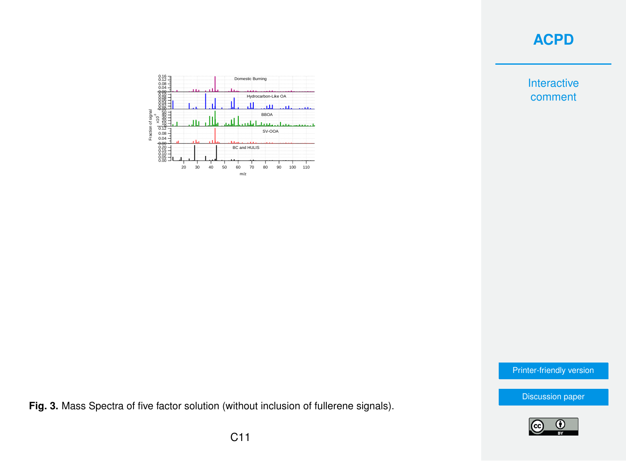Interactive comment



[Printer-friendly version](https://acp.copernicus.org/preprints/acp-2020-890/acp-2020-890-AC2-print.pdf)

[Discussion paper](https://acp.copernicus.org/preprints/acp-2020-890)



**Fig. 3.** Mass Spectra of five factor solution (without inclusion of fullerene signals).